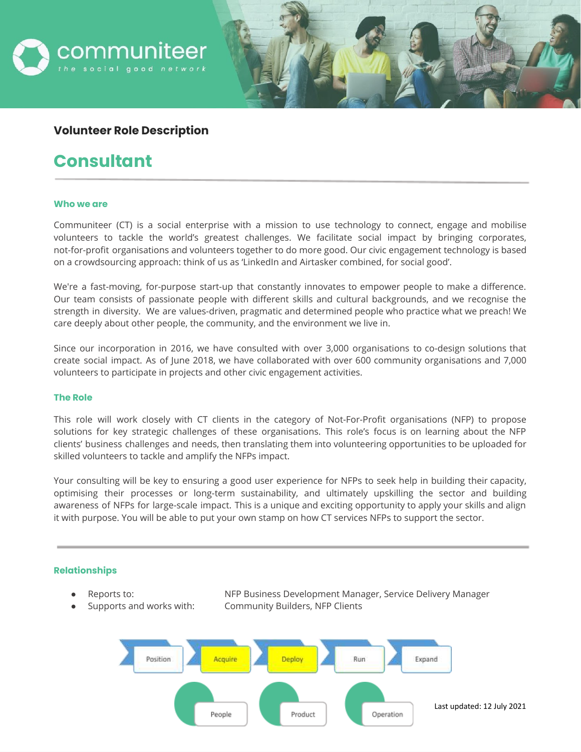

# **Volunteer Role Description**

# **Consultant**

#### **Who we are**

 $\overline{\phantom{0}}$ 

Communiteer (CT) is a social enterprise with a mission to use technology to connect, engage and mobilise volunteers to tackle the world's greatest challenges. We facilitate social impact by bringing corporates, not-for-profit organisations and volunteers together to do more good. Our civic engagement technology is based on a crowdsourcing approach: think of us as 'LinkedIn and Airtasker combined, for social good'.

We're a fast-moving, for-purpose start-up that constantly innovates to empower people to make a difference. Our team consists of passionate people with different skills and cultural backgrounds, and we recognise the strength in diversity. We are values-driven, pragmatic and determined people who practice what we preach! We care deeply about other people, the community, and the environment we live in.

Since our incorporation in 2016, we have consulted with over 3,000 organisations to co-design solutions that create social impact. As of June 2018, we have collaborated with over 600 community organisations and 7,000 volunteers to participate in projects and other civic engagement activities.

#### **The Role**

This role will work closely with CT clients in the category of Not-For-Profit organisations (NFP) to propose solutions for key strategic challenges of these organisations. This role's focus is on learning about the NFP clients' business challenges and needs, then translating them into volunteering opportunities to be uploaded for skilled volunteers to tackle and amplify the NFPs impact.

Your consulting will be key to ensuring a good user experience for NFPs to seek help in building their capacity, optimising their processes or long-term sustainability, and ultimately upskilling the sector and building awareness of NFPs for large-scale impact. This is a unique and exciting opportunity to apply your skills and align it with purpose. You will be able to put your own stamp on how CT services NFPs to support the sector.

#### **Relationships**

- 
- 

Reports to: **NEP Business Development Manager, Service Delivery Manager** Supports and works with: Community Builders, NFP Clients

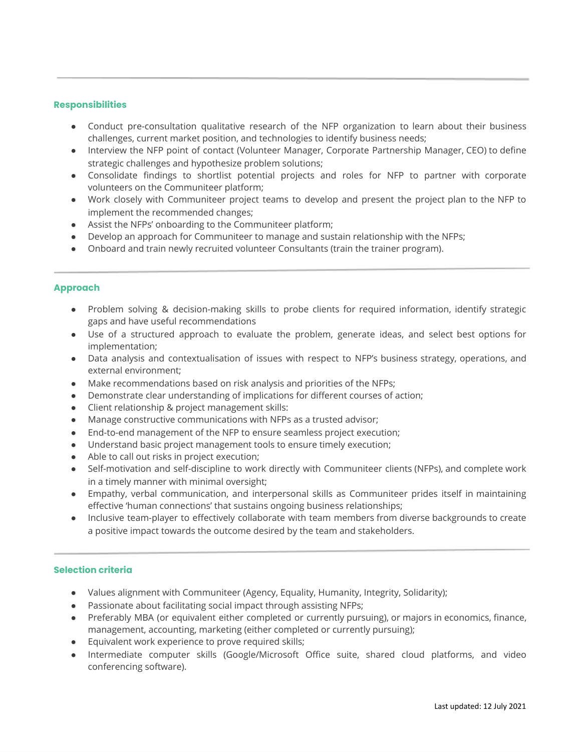### **Responsibilities**

- Conduct pre-consultation qualitative research of the NFP organization to learn about their business challenges, current market position, and technologies to identify business needs;
- Interview the NFP point of contact (Volunteer Manager, Corporate Partnership Manager, CEO) to define strategic challenges and hypothesize problem solutions;
- Consolidate findings to shortlist potential projects and roles for NFP to partner with corporate volunteers on the Communiteer platform;
- Work closely with Communiteer project teams to develop and present the project plan to the NFP to implement the recommended changes;
- Assist the NFPs' onboarding to the Communiteer platform;

÷

- Develop an approach for Communiteer to manage and sustain relationship with the NFPs;
- Onboard and train newly recruited volunteer Consultants (train the trainer program).

## **Approach**

- Problem solving & decision-making skills to probe clients for required information, identify strategic gaps and have useful recommendations
- Use of a structured approach to evaluate the problem, generate ideas, and select best options for implementation;
- Data analysis and contextualisation of issues with respect to NFP's business strategy, operations, and external environment;
- Make recommendations based on risk analysis and priorities of the NFPs;
- Demonstrate clear understanding of implications for different courses of action;
- Client relationship & project management skills:
- Manage constructive communications with NFPs as a trusted advisor;
- End-to-end management of the NFP to ensure seamless project execution;
- Understand basic project management tools to ensure timely execution;
- Able to call out risks in project execution;
- Self-motivation and self-discipline to work directly with Communiteer clients (NFPs), and complete work in a timely manner with minimal oversight;
- Empathy, verbal communication, and interpersonal skills as Communiteer prides itself in maintaining effective 'human connections' that sustains ongoing business relationships;
- Inclusive team-player to effectively collaborate with team members from diverse backgrounds to create a positive impact towards the outcome desired by the team and stakeholders.

## **Selection criteria**

- Values alignment with Communiteer (Agency, Equality, Humanity, Integrity, Solidarity);
- Passionate about facilitating social impact through assisting NFPs;
- Preferably MBA (or equivalent either completed or currently pursuing), or majors in economics, finance, management, accounting, marketing (either completed or currently pursuing);
- Equivalent work experience to prove required skills;
- Intermediate computer skills (Google/Microsoft Office suite, shared cloud platforms, and video conferencing software).